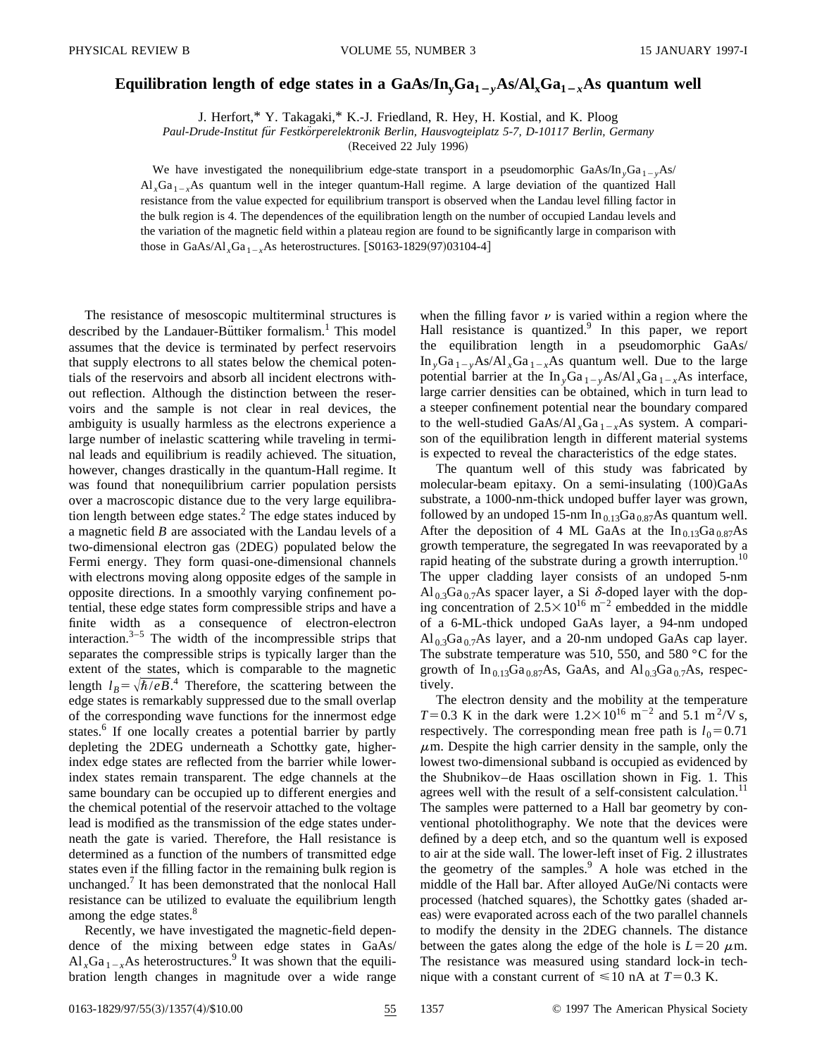## **Equilibration length of edge states in a**  $GaAs/In_vGa_{1-v}As/Al_xGa_{1-x}As$  **quantum well**

J. Herfort,\* Y. Takagaki,\* K.-J. Friedland, R. Hey, H. Kostial, and K. Ploog

*Paul-Drude-Institut fu¨r Festko¨rperelektronik Berlin, Hausvogteiplatz 5-7, D-10117 Berlin, Germany*

(Received 22 July 1996)

We have investigated the nonequilibrium edge-state transport in a pseudomorphic GaAs/In<sub>y</sub>Ga<sub>1-y</sub>As/  $Al_xGa_{1-x}As$  quantum well in the integer quantum-Hall regime. A large deviation of the quantized Hall resistance from the value expected for equilibrium transport is observed when the Landau level filling factor in the bulk region is 4. The dependences of the equilibration length on the number of occupied Landau levels and the variation of the magnetic field within a plateau region are found to be significantly large in comparison with those in GaAs/Al<sub>x</sub>Ga<sub>1-x</sub>As heterostructures.  $\left[ S0163-1829(97)03104-4 \right]$ 

The resistance of mesoscopic multiterminal structures is described by the Landauer-Büttiker formalism.<sup>1</sup> This model assumes that the device is terminated by perfect reservoirs that supply electrons to all states below the chemical potentials of the reservoirs and absorb all incident electrons without reflection. Although the distinction between the reservoirs and the sample is not clear in real devices, the ambiguity is usually harmless as the electrons experience a large number of inelastic scattering while traveling in terminal leads and equilibrium is readily achieved. The situation, however, changes drastically in the quantum-Hall regime. It was found that nonequilibrium carrier population persists over a macroscopic distance due to the very large equilibration length between edge states.<sup>2</sup> The edge states induced by a magnetic field *B* are associated with the Landau levels of a two-dimensional electron gas (2DEG) populated below the Fermi energy. They form quasi-one-dimensional channels with electrons moving along opposite edges of the sample in opposite directions. In a smoothly varying confinement potential, these edge states form compressible strips and have a finite width as a consequence of electron-electron interaction. $3-5$  The width of the incompressible strips that separates the compressible strips is typically larger than the extent of the states, which is comparable to the magnetic length  $l_B = \sqrt{\hbar/eB}$ .<sup>4</sup> Therefore, the scattering between the edge states is remarkably suppressed due to the small overlap of the corresponding wave functions for the innermost edge states.<sup>6</sup> If one locally creates a potential barrier by partly depleting the 2DEG underneath a Schottky gate, higherindex edge states are reflected from the barrier while lowerindex states remain transparent. The edge channels at the same boundary can be occupied up to different energies and the chemical potential of the reservoir attached to the voltage lead is modified as the transmission of the edge states underneath the gate is varied. Therefore, the Hall resistance is determined as a function of the numbers of transmitted edge states even if the filling factor in the remaining bulk region is unchanged.<sup>7</sup> It has been demonstrated that the nonlocal Hall resistance can be utilized to evaluate the equilibrium length among the edge states.<sup>8</sup>

Recently, we have investigated the magnetic-field dependence of the mixing between edge states in GaAs/  $Al_xGa_{1-x}As$  heterostructures.<sup>9</sup> It was shown that the equilibration length changes in magnitude over a wide range when the filling favor  $\nu$  is varied within a region where the Hall resistance is quantized.<sup>9</sup> In this paper, we report the equilibration length in a pseudomorphic GaAs/ In  $_vGa_{1-v}As/Al_{x}Ga_{1-x}As$  quantum well. Due to the large potential barrier at the  $\text{In}_{y}\text{Ga}_{1-y}\text{As/Al}_{x}\text{Ga}_{1-x}\text{As}$  interface, large carrier densities can be obtained, which in turn lead to a steeper confinement potential near the boundary compared to the well-studied GaAs/Al<sub>x</sub>Ga<sub>1-x</sub>As system. A comparison of the equilibration length in different material systems is expected to reveal the characteristics of the edge states.

The quantum well of this study was fabricated by molecular-beam epitaxy. On a semi-insulating  $(100)GaAs$ substrate, a 1000-nm-thick undoped buffer layer was grown, followed by an undoped 15-nm  $In_{0.13}Ga_{0.87}As$  quantum well. After the deposition of 4 ML GaAs at the  $In_{0.13}Ga_{0.87}As$ growth temperature, the segregated In was reevaporated by a rapid heating of the substrate during a growth interruption.<sup>10</sup> The upper cladding layer consists of an undoped 5-nm  $\text{Al}_{0.3}\text{Ga}_{0.7}\text{As}$  spacer layer, a Si  $\delta$ -doped layer with the doping concentration of  $2.5 \times 10^{16}$  m<sup>-2</sup> embedded in the middle of a 6-ML-thick undoped GaAs layer, a 94-nm undoped  $\text{Al}_{0.3}\text{Ga}_{0.7}\text{As}$  layer, and a 20-nm undoped GaAs cap layer. The substrate temperature was 510, 550, and 580 °C for the growth of  $In_{0.13}Ga_{0.87}As$ , GaAs, and  $Al_{0.3}Ga_{0.7}As$ , respectively.

The electron density and the mobility at the temperature *T*=0.3 K in the dark were  $1.2 \times 10^{16}$  m<sup>-2</sup> and 5.1 m<sup>2</sup>/V s, respectively. The corresponding mean free path is  $l_0=0.71$  $\mu$ m. Despite the high carrier density in the sample, only the lowest two-dimensional subband is occupied as evidenced by the Shubnikov–de Haas oscillation shown in Fig. 1. This agrees well with the result of a self-consistent calculation.<sup>11</sup> The samples were patterned to a Hall bar geometry by conventional photolithography. We note that the devices were defined by a deep etch, and so the quantum well is exposed to air at the side wall. The lower-left inset of Fig. 2 illustrates the geometry of the samples. $\frac{9}{2}$  A hole was etched in the middle of the Hall bar. After alloyed AuGe/Ni contacts were processed (hatched squares), the Schottky gates (shaded areas) were evaporated across each of the two parallel channels to modify the density in the 2DEG channels. The distance between the gates along the edge of the hole is  $L=20 \mu$ m. The resistance was measured using standard lock-in technique with a constant current of  $\leq 10$  nA at  $T=0.3$  K.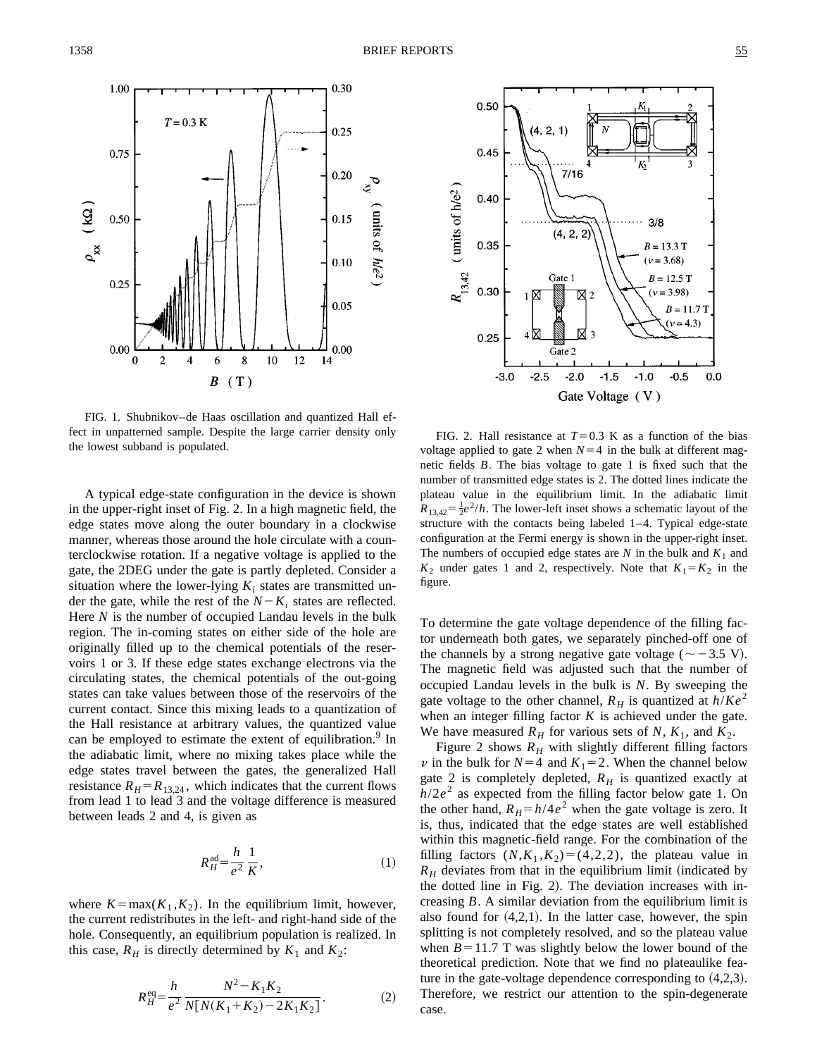

FIG. 1. Shubnikov–de Haas oscillation and quantized Hall effect in unpatterned sample. Despite the large carrier density only the lowest subband is populated.

A typical edge-state configuration in the device is shown in the upper-right inset of Fig. 2. In a high magnetic field, the edge states move along the outer boundary in a clockwise manner, whereas those around the hole circulate with a counterclockwise rotation. If a negative voltage is applied to the gate, the 2DEG under the gate is partly depleted. Consider a situation where the lower-lying  $K_i$  states are transmitted under the gate, while the rest of the  $N-K_i$  states are reflected. Here *N* is the number of occupied Landau levels in the bulk region. The in-coming states on either side of the hole are originally filled up to the chemical potentials of the reservoirs 1 or 3. If these edge states exchange electrons via the circulating states, the chemical potentials of the out-going states can take values between those of the reservoirs of the current contact. Since this mixing leads to a quantization of the Hall resistance at arbitrary values, the quantized value can be employed to estimate the extent of equilibration.<sup>9</sup> In the adiabatic limit, where no mixing takes place while the edge states travel between the gates, the generalized Hall resistance  $R_H = R_{13,24}$ , which indicates that the current flows from lead 1 to lead 3 and the voltage difference is measured between leads 2 and 4, is given as

$$
R_H^{\text{ad}} = \frac{h}{e^2} \frac{1}{K},\tag{1}
$$

where  $K = \max(K_1, K_2)$ . In the equilibrium limit, however, the current redistributes in the left- and right-hand side of the hole. Consequently, an equilibrium population is realized. In this case,  $R_H$  is directly determined by  $K_1$  and  $K_2$ :

$$
R_H^{\text{eq}} = \frac{h}{e^2} \frac{N^2 - K_1 K_2}{N[N(K_1 + K_2) - 2K_1 K_2]}.
$$
 (2)



FIG. 2. Hall resistance at  $T=0.3$  K as a function of the bias voltage applied to gate 2 when  $N=4$  in the bulk at different magnetic fields *B*. The bias voltage to gate 1 is fixed such that the number of transmitted edge states is 2. The dotted lines indicate the plateau value in the equilibrium limit. In the adiabatic limit  $R_{13,42} = \frac{1}{2}e^2/h$ . The lower-left inset shows a schematic layout of the structure with the contacts being labeled 1–4. Typical edge-state configuration at the Fermi energy is shown in the upper-right inset. The numbers of occupied edge states are  $N$  in the bulk and  $K_1$  and  $K_2$  under gates 1 and 2, respectively. Note that  $K_1 = K_2$  in the figure.

To determine the gate voltage dependence of the filling factor underneath both gates, we separately pinched-off one of the channels by a strong negative gate voltage ( $\sim$  -3.5 V). The magnetic field was adjusted such that the number of occupied Landau levels in the bulk is *N*. By sweeping the gate voltage to the other channel,  $R_H$  is quantized at  $h/Ke^2$ when an integer filling factor  $K$  is achieved under the gate. We have measured  $R_H$  for various sets of N,  $K_1$ , and  $K_2$ .

Figure 2 shows  $R_H$  with slightly different filling factors  $\nu$  in the bulk for  $N=4$  and  $K_1=2$ . When the channel below gate 2 is completely depleted,  $R_H$  is quantized exactly at  $h/2e^2$  as expected from the filling factor below gate 1. On the other hand,  $R_H = h/4e^2$  when the gate voltage is zero. It is, thus, indicated that the edge states are well established within this magnetic-field range. For the combination of the filling factors  $(N,K_1,K_2)=(4,2,2)$ , the plateau value in  $R_H$  deviates from that in the equilibrium limit (indicated by the dotted line in Fig. 2). The deviation increases with increasing *B*. A similar deviation from the equilibrium limit is also found for  $(4,2,1)$ . In the latter case, however, the spin splitting is not completely resolved, and so the plateau value when  $B=11.7$  T was slightly below the lower bound of the theoretical prediction. Note that we find no plateaulike feature in the gate-voltage dependence corresponding to  $(4,2,3)$ . Therefore, we restrict our attention to the spin-degenerate case.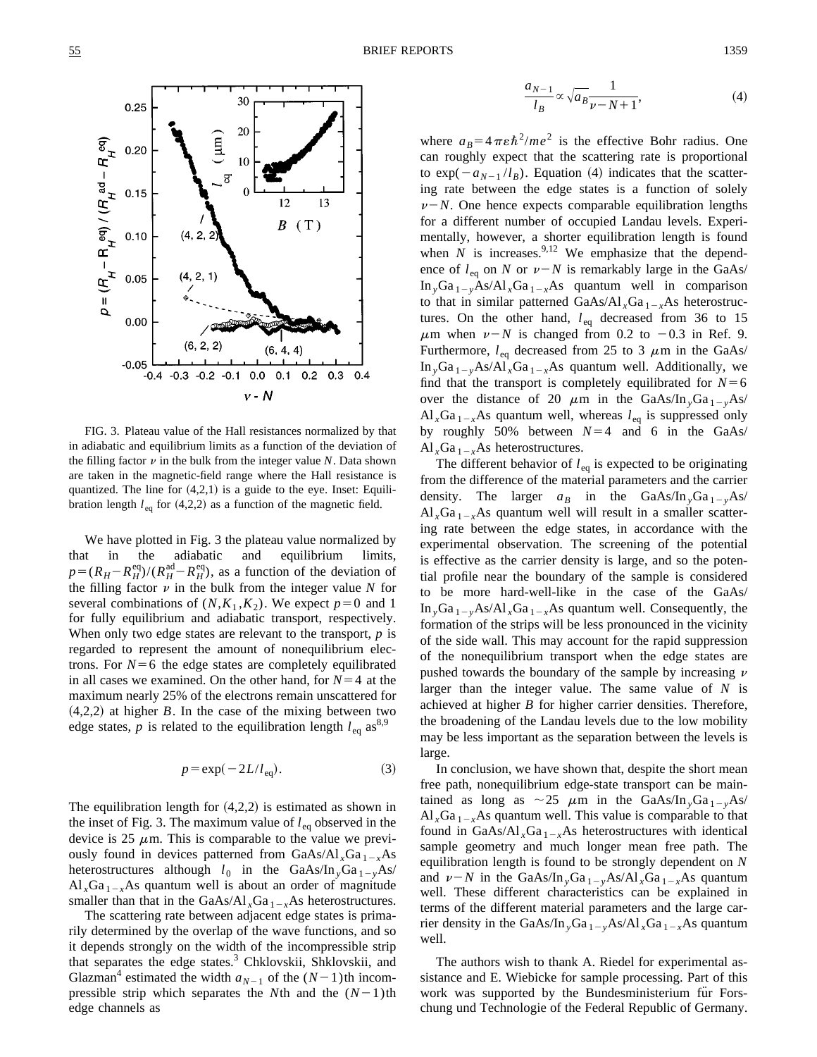

FIG. 3. Plateau value of the Hall resistances normalized by that in adiabatic and equilibrium limits as a function of the deviation of the filling factor  $\nu$  in the bulk from the integer value  $N$ . Data shown are taken in the magnetic-field range where the Hall resistance is quantized. The line for  $(4,2,1)$  is a guide to the eye. Inset: Equilibration length  $l_{eq}$  for (4,2,2) as a function of the magnetic field.

We have plotted in Fig. 3 the plateau value normalized by that in the adiabatic and equilibrium limits,  $p = (R_H - R_H^{\text{eq}})/(R_H^{\text{ad}} - R_H^{\text{eq}})$ , as a function of the deviation of the filling factor  $\nu$  in the bulk from the integer value  $N$  for several combinations of  $(N,K_1,K_2)$ . We expect  $p=0$  and 1 for fully equilibrium and adiabatic transport, respectively. When only two edge states are relevant to the transport, *p* is regarded to represent the amount of nonequilibrium electrons. For  $N=6$  the edge states are completely equilibrated in all cases we examined. On the other hand, for  $N=4$  at the maximum nearly 25% of the electrons remain unscattered for  $(4,2,2)$  at higher *B*. In the case of the mixing between two edge states, *p* is related to the equilibration length  $l_{eq}$  as<sup>8,9</sup>

$$
p = \exp(-2L/l_{\text{eq}}). \tag{3}
$$

The equilibration length for  $(4,2,2)$  is estimated as shown in the inset of Fig. 3. The maximum value of  $l_{eq}$  observed in the device is 25  $\mu$ m. This is comparable to the value we previously found in devices patterned from  $GaAs/Al<sub>x</sub>Ga<sub>1-x</sub>As$ heterostructures although  $l_0$  in the GaAs/In<sub>y</sub>Ga<sub>1-y</sub>As/  $Al_xGa_{1-x}As$  quantum well is about an order of magnitude smaller than that in the GaAs/Al<sub>x</sub>Ga<sub>1-x</sub>As heterostructures.

The scattering rate between adjacent edge states is primarily determined by the overlap of the wave functions, and so it depends strongly on the width of the incompressible strip that separates the edge states.<sup>3</sup> Chklovskii, Shklovskii, and Glazman<sup>4</sup> estimated the width  $a_{N-1}$  of the  $(N-1)$ th incompressible strip which separates the *N*th and the  $(N-1)$ th edge channels as

$$
\frac{a_{N-1}}{l_B} \propto \sqrt{a_B} \frac{1}{\nu - N + 1},\tag{4}
$$

where  $a_B = 4 \pi \epsilon \hbar^2 / m e^2$  is the effective Bohr radius. One can roughly expect that the scattering rate is proportional to  $\exp(-a_{N-1} / l_B)$ . Equation (4) indicates that the scattering rate between the edge states is a function of solely  $\nu-N$ . One hence expects comparable equilibration lengths for a different number of occupied Landau levels. Experimentally, however, a shorter equilibration length is found when  $\hat{N}$  is increases.<sup>9,12</sup> We emphasize that the dependence of  $l_{eq}$  on *N* or  $\nu - N$  is remarkably large in the GaAs/ In  $yGa_{1-y}As/Al_xGa_{1-x}As$  quantum well in comparison to that in similar patterned  $GaAs/Al<sub>x</sub>Ga<sub>1-x</sub>As heterostruc$ tures. On the other hand,  $l_{eq}$  decreased from 36 to 15  $\mu$ m when  $\nu$ –*N* is changed from 0.2 to –0.3 in Ref. 9. Furthermore,  $l_{\text{eq}}$  decreased from 25 to 3  $\mu$ m in the GaAs/ In  $_{y}Ga_{1-y}As/A1_{x}Ga_{1-x}As$  quantum well. Additionally, we find that the transport is completely equilibrated for  $N=6$ over the distance of 20  $\mu$ m in the GaAs/In<sub>v</sub>Ga<sub>1-y</sub>As/  $\text{Al}_x\text{Ga}_{1-x}\text{As}$  quantum well, whereas  $l_{\text{eq}}$  is suppressed only by roughly 50% between  $N=4$  and 6 in the GaAs/ Al  $_{x}Ga_{1-x}As$  heterostructures.

The different behavior of  $l_{eq}$  is expected to be originating from the difference of the material parameters and the carrier density. The larger  $a_B$  in the GaAs/In  $\overline{a}_{1-y}$ As/  $Al_xGa_{1-x}As$  quantum well will result in a smaller scattering rate between the edge states, in accordance with the experimental observation. The screening of the potential is effective as the carrier density is large, and so the potential profile near the boundary of the sample is considered to be more hard-well-like in the case of the GaAs/ In  $_vGa_{1-v}As/Al_xGa_{1-x}As$  quantum well. Consequently, the formation of the strips will be less pronounced in the vicinity of the side wall. This may account for the rapid suppression of the nonequilibrium transport when the edge states are pushed towards the boundary of the sample by increasing  $\nu$ larger than the integer value. The same value of *N* is achieved at higher *B* for higher carrier densities. Therefore, the broadening of the Landau levels due to the low mobility may be less important as the separation between the levels is large.

In conclusion, we have shown that, despite the short mean free path, nonequilibrium edge-state transport can be maintained as long as  $\sim$  25  $\mu$ m in the GaAs/In <sub>y</sub>Ga <sub>1-y</sub>As/  $Al_xGa_{1-x}As$  quantum well. This value is comparable to that found in GaAs/Al<sub>x</sub>Ga<sub>1-x</sub>As heterostructures with identical sample geometry and much longer mean free path. The equilibration length is found to be strongly dependent on *N* and  $\nu$ –*N* in the GaAs/In <sub>*y*</sub>Ga <sub>1-*y*</sub>As/Al *x*Ga <sub>1-*x*</sub>As quantum well. These different characteristics can be explained in terms of the different material parameters and the large carrier density in the GaAs/In<sub>y</sub>Ga<sub>1-y</sub>As/Al<sub>x</sub>Ga<sub>1-x</sub>As quantum well.

The authors wish to thank A. Riedel for experimental assistance and E. Wiebicke for sample processing. Part of this work was supported by the Bundesministerium fur Forschung und Technologie of the Federal Republic of Germany.